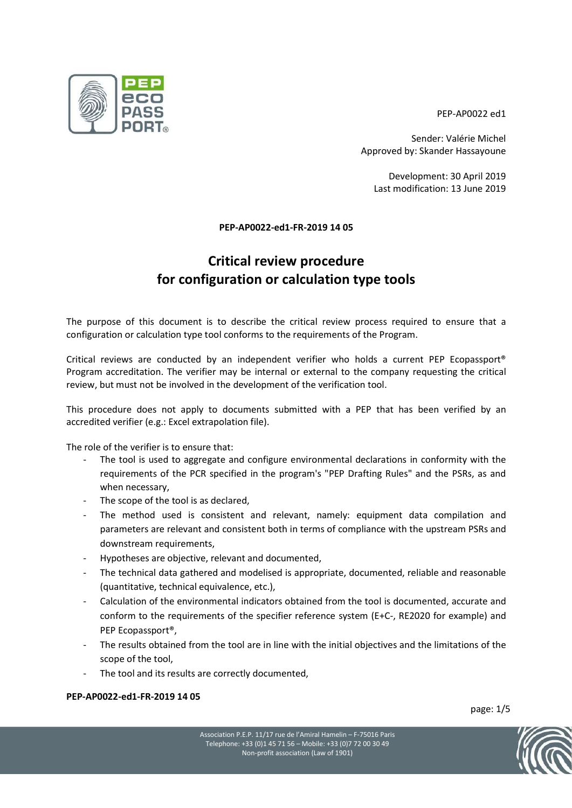PEP-AP0022 ed1

Sender: Valérie Michel Approved by: Skander Hassayoune

Development: 30 April 2019 Last modification: 13 June 2019

#### PEP-AP0022-ed1-FR-2019 14 05

# Critical review procedure for configuration or calculation type tools

The purpose of this document is to describe the critical review process required to ensure that a configuration or calculation type tool conforms to the requirements of the Program.

Critical reviews are conducted by an independent verifier who holds a current PEP Ecopassport® Program accreditation. The verifier may be internal or external to the company requesting the critical review, but must not be involved in the development of the verification tool.

This procedure does not apply to documents submitted with a PEP that has been verified by an accredited verifier (e.g.: Excel extrapolation file).

- The role of the verifier is to ensure that:<br>- The tool is used to aggregate and configure environmental declarations in conformity with the requirements of the PCR specified in the program's "PEP Drafting Rules" and the PSRs, as and
	-
	- when necessary,<br>The scope of the tool is as declared,<br>The method used is consistent and relevant, namely: equipment data compilation and parameters are relevant and consistent both in terms of compliance with the upstream PSRs and
	-
	- downstream requirements,<br>- Hypotheses are objective, relevant and documented,<br>The technical data gathered and modelised is appropriate, documented, reliable and reasonable
	- (quantitative, technical equivalence, etc.),<br>Calculation of the environmental indicators obtained from the tool is documented, accurate and conform to the requirements of the specifier reference system (E+C-, RE2020 for example) and
	- PEP Ecopassport®,<br>The results obtained from the tool are in line with the initial objectives and the limitations of the
	- scope of the tool,<br>The tool and its results are correctly documented,

#### PEP-AP0022-ed1-FR-2019 14 05

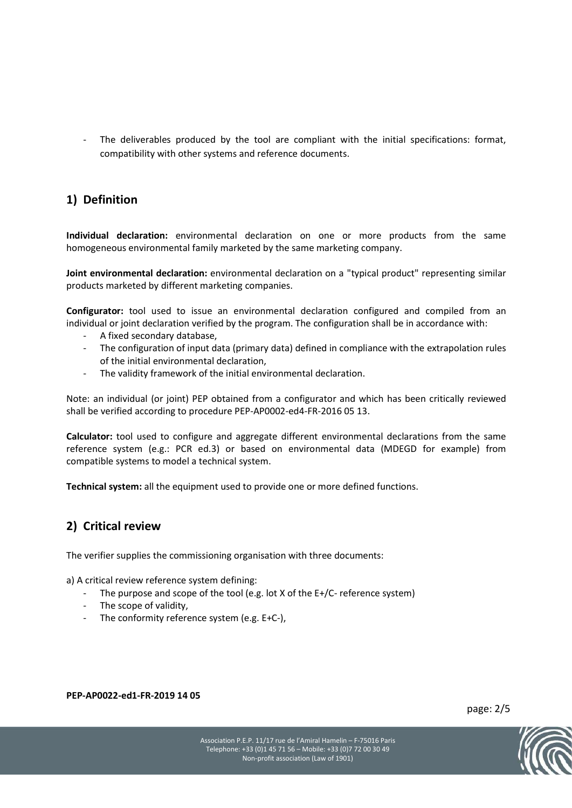The deliverables produced by the tool are compliant with the initial specifications: format, compatibility with other systems and reference documents.

### 1) Definition

Individual declaration: environmental declaration on one or more products from the same homogeneous environmental family marketed by the same marketing company.

Joint environmental declaration: environmental declaration on a "typical product" representing similar products marketed by different marketing companies.

Configurator: tool used to issue an environmental declaration configured and compiled from an individual or joint declaration verified by the program. The configuration shall be in accordance with:<br>- A fixed secondary database,<br>- The configuration of input data (primary data) defined in compliance with the extrapol

- 
- of the initial environmental declaration,<br>The validity framework of the initial environmental declaration.
- 

Note: an individual (or joint) PEP obtained from a configurator and which has been critically reviewed shall be verified according to procedure PEP-AP0002-ed4-FR-2016 05 13.

Calculator: tool used to configure and aggregate different environmental declarations from the same reference system (e.g.: PCR ed.3) or based on environmental data (MDEGD for example) from compatible systems to model a technical system.

Technical system: all the equipment used to provide one or more defined functions.

### 2) Critical review

The verifier supplies the commissioning organisation with three documents:

- a) A critical review reference system defining:<br>- The purpose and scope of the tool (e.g. lot X of the E+/C- reference system)<br>- The scope of validity,<br>- The conformity reference system (e.g. E+C-),
	-
	-

PEP-AP0022-ed1-FR-2019 14 05

page: 2/5

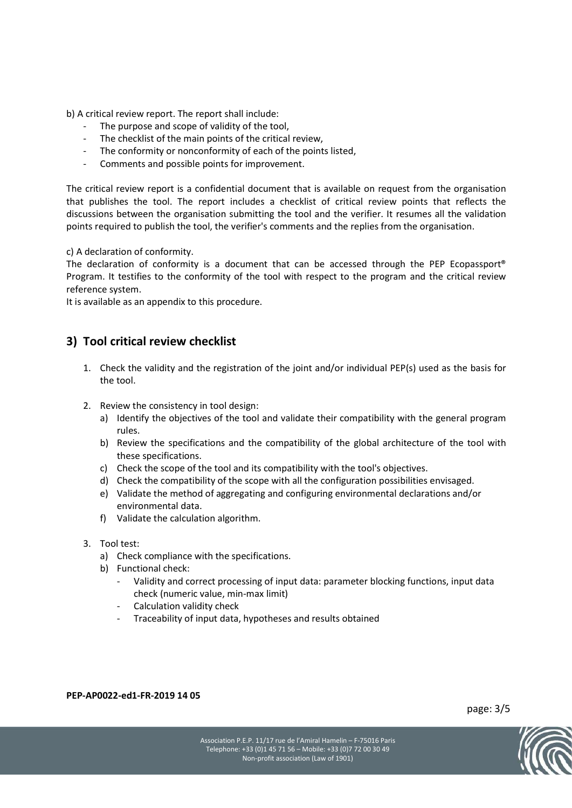- 
- 
- b) A critical review report. The report shall include:<br>- The purpose and scope of validity of the tool,<br>- The checklist of the main points of the critical review,<br>- The conformity or nonconformity of each of the points lis
	-

The critical review report is a confidential document that is available on request from the organisation that publishes the tool. The report includes a checklist of critical review points that reflects the discussions between the organisation submitting the tool and the verifier. It resumes all the validation points required to publish the tool, the verifier's comments and the replies from the organisation.

c) A declaration of conformity.

The declaration of conformity is a document that can be accessed through the PEP Ecopassport® Program. It testifies to the conformity of the tool with respect to the program and the critical review reference system.

It is available as an appendix to this procedure.

#### 3) Tool critical review checklist

- 1. Check the validity and the registration of the joint and/or individual PEP(s) used as the basis for the tool.
- 2. Review the consistency in tool design:
	- a) Identify the objectives of the tool and validate their compatibility with the general program rules.
	- b) Review the specifications and the compatibility of the global architecture of the tool with these specifications.
	- c) Check the scope of the tool and its compatibility with the tool's objectives.
	- d) Check the compatibility of the scope with all the configuration possibilities envisaged.
	- e) Validate the method of aggregating and configuring environmental declarations and/or environmental data.
	- f) Validate the calculation algorithm.
- 3. Tool test:
	- a) Check compliance with the specifications.
	-
	- b) Functional check: -<br>- Validity and correct processing of input data: parameter blocking functions, input data check (numeric value, min-max limit)<br>
	- Calculation validity check<br>
	- Traceability of input data, hypotheses and results obtained
		-
		-

PEP-AP0022-ed1-FR-2019 14 05

page: 3/5

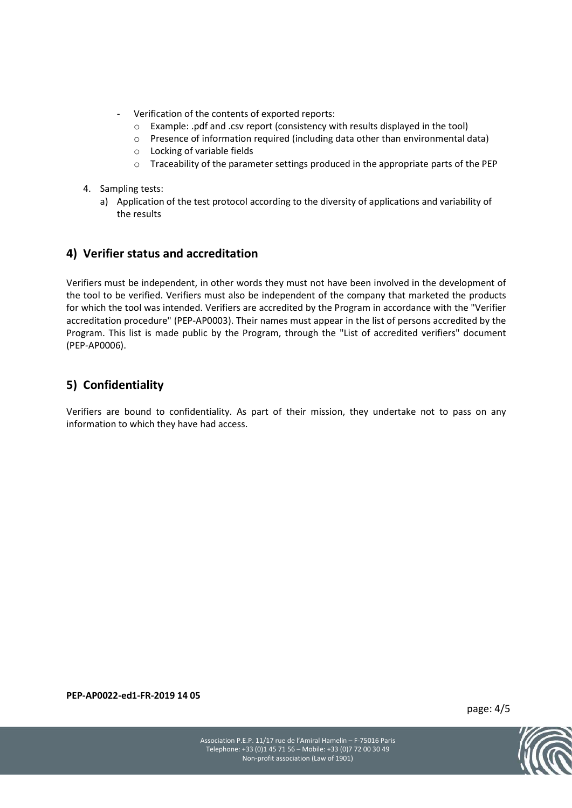- Verification of the contents of exported reports:
	- o Example: .pdf and .csv report (consistency with results displayed in the tool)
	- o Presence of information required (including data other than environmental data)
	- o Locking of variable fields
	- $\circ$  Traceability of the parameter settings produced in the appropriate parts of the PEP
- 4. Sampling tests:
	- a) Application of the test protocol according to the diversity of applications and variability of the results

#### 4) Verifier status and accreditation

Verifiers must be independent, in other words they must not have been involved in the development of the tool to be verified. Verifiers must also be independent of the company that marketed the products for which the tool was intended. Verifiers are accredited by the Program in accordance with the "Verifier accreditation procedure" (PEP-AP0003). Their names must appear in the list of persons accredited by the Program. This list is made public by the Program, through the "List of accredited verifiers" document (PEP-AP0006).

## 5) Confidentiality

Verifiers are bound to confidentiality. As part of their mission, they undertake not to pass on any information to which they have had access.